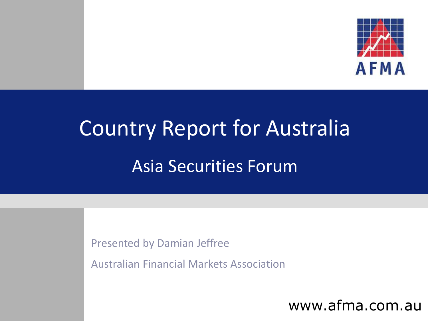

# Country Report for Australia Asia Securities Forum

Presented by Damian Jeffree

Australian Financial Markets Association

www.afma.com.au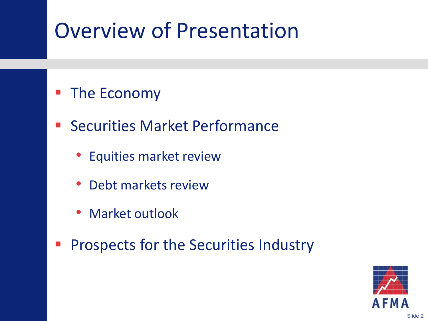### Overview of Presentation

#### **The Economy**

- Securities Market Performance
	- Equities market review
	- Debt markets review
	- Market outlook
- **Prospects for the Securities Industry**

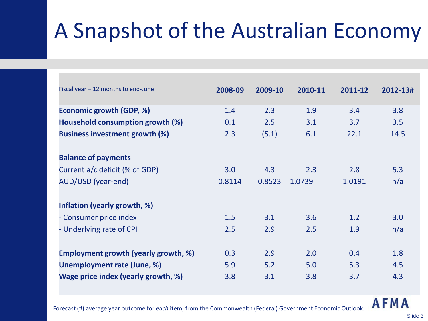## A Snapshot of the Australian Economy

| Fiscal year $-12$ months to end-June  | 2008-09 | 2009-10 | 2010-11 | 2011-12 | 2012-13# |
|---------------------------------------|---------|---------|---------|---------|----------|
| Economic growth (GDP, %)              | 1.4     | 2.3     | 1.9     | 3.4     | 3.8      |
| Household consumption growth (%)      | 0.1     | 2.5     | 3.1     | 3.7     | 3.5      |
| <b>Business investment growth (%)</b> | 2.3     | (5.1)   | 6.1     | 22.1    | 14.5     |
| <b>Balance of payments</b>            |         |         |         |         |          |
| Current a/c deficit (% of GDP)        | 3.0     | 4.3     | 2.3     | 2.8     | 5.3      |
| AUD/USD (year-end)                    | 0.8114  | 0.8523  | 1.0739  | 1.0191  | n/a      |
| Inflation (yearly growth, %)          |         |         |         |         |          |
| - Consumer price index                | 1.5     | 3.1     | 3.6     | 1.2     | 3.0      |
| - Underlying rate of CPI              | 2.5     | 2.9     | 2.5     | 1.9     | n/a      |
| Employment growth (yearly growth, %)  | 0.3     | 2.9     | 2.0     | 0.4     | 1.8      |
| Unemployment rate (June, %)           | 5.9     | 5.2     | 5.0     | 5.3     | 4.5      |
| Wage price index (yearly growth, %)   | 3.8     | 3.1     | 3.8     | 3.7     | 4.3      |

#### **AFMA**

Forecast (#) average year outcome for *each* item; from the Commonwealth (Federal) Government Economic Outlook.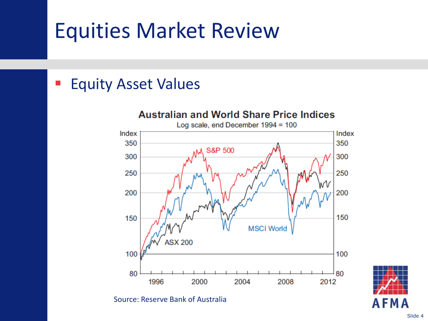### Equities Market Review

#### **Equity Asset Values**



Source: Reserve Bank of Australia

Slide 4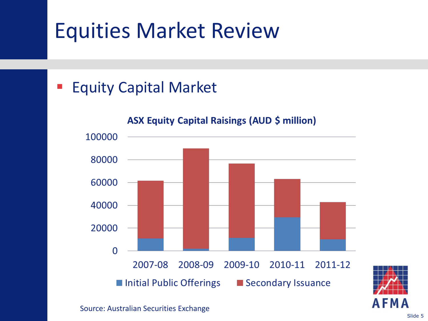### Equities Market Review

#### Equity Capital Market



Slide 5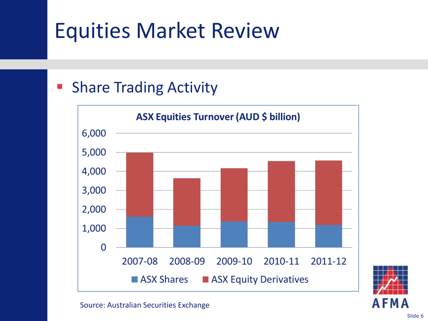### Equities Market Review

#### Share Trading Activity



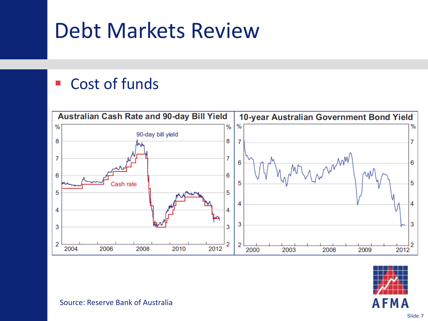### Debt Markets Review

#### ■ Cost of funds





Source: Reserve Bank of Australia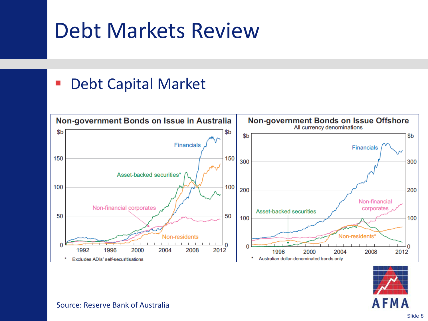### Debt Markets Review

#### ■ Debt Capital Market





Source: Reserve Bank of Australia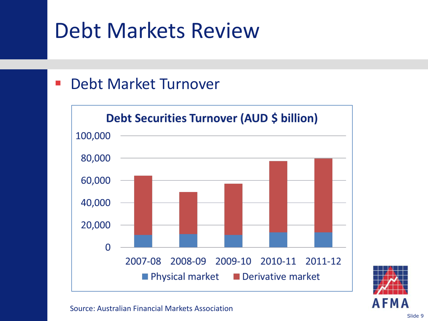### Debt Markets Review

#### **- Debt Market Turnover**





Source: Australian Financial Markets Association